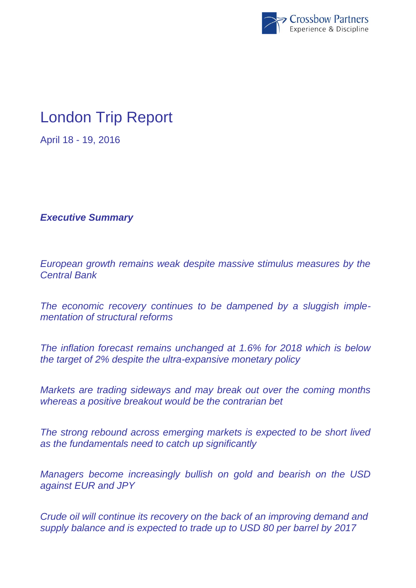

## London Trip Report

April 18 - 19, 2016

*Executive Summary*

*European growth remains weak despite massive stimulus measures by the Central Bank*

*The economic recovery continues to be dampened by a sluggish implementation of structural reforms*

*The inflation forecast remains unchanged at 1.6% for 2018 which is below the target of 2% despite the ultra-expansive monetary policy*

*Markets are trading sideways and may break out over the coming months whereas a positive breakout would be the contrarian bet*

*The strong rebound across emerging markets is expected to be short lived as the fundamentals need to catch up significantly*

*Managers become increasingly bullish on gold and bearish on the USD against EUR and JPY*

*Crude oil will continue its recovery on the back of an improving demand and supply balance and is expected to trade up to USD 80 per barrel by 2017*